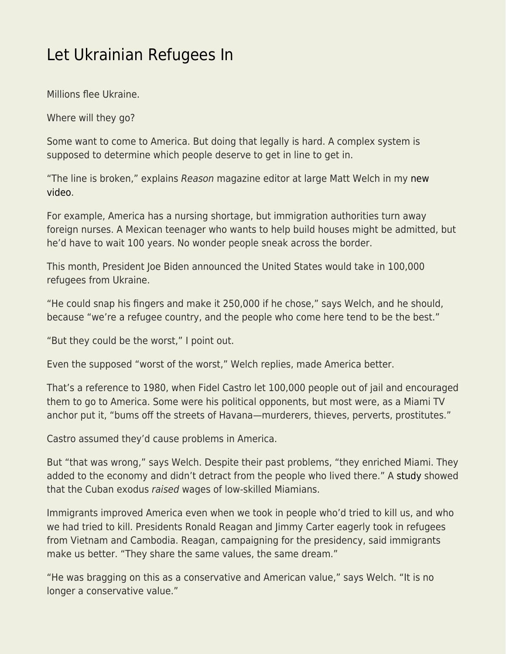## [Let Ukrainian Refugees In](https://everything-voluntary.com/let-ukrainian-refugees-in)

Millions flee Ukraine.

Where will they go?

Some want to come to America. But doing that legally is hard. A complex system is supposed to determine which people deserve to get in line to get in.

"The line is broken," explains Reason magazine editor at large Matt Welch in my [new](https://www.youtube.com/watch?v=m9_wctVAH4s) [video](https://www.youtube.com/watch?v=m9_wctVAH4s).

For example, America has a nursing shortage, but immigration authorities turn away foreign nurses. A Mexican teenager who wants to help build houses might be admitted, but he'd have to wait 100 years. No wonder people sneak across the border.

This month, President Joe Biden announced the United States would take in 100,000 refugees from Ukraine.

"He could snap his fingers and make it 250,000 if he chose," says Welch, and he should, because "we're a refugee country, and the people who come here tend to be the best."

"But they could be the worst," I point out.

Even the supposed "worst of the worst," Welch replies, made America better.

That's a reference to 1980, when Fidel Castro let 100,000 people out of jail and encouraged them to go to America. Some were his political opponents, but most were, as a Miami TV anchor put it, "bums off the streets of Havana—murderers, thieves, perverts, prostitutes."

Castro assumed they'd cause problems in America.

But "that was wrong," says Welch. Despite their past problems, "they enriched Miami. They added to the economy and didn't detract from the people who lived there." A [study](https://www.cato.org/blog/mariel-boatlift-raised-wages-low-skilled-miamians) showed that the Cuban exodus raised wages of low-skilled Miamians.

Immigrants improved America even when we took in people who'd tried to kill us, and who we had tried to kill. Presidents Ronald Reagan and Jimmy Carter eagerly took in refugees from Vietnam and Cambodia. Reagan, campaigning for the presidency, said immigrants make us better. "They share the same values, the same dream."

"He was bragging on this as a conservative and American value," says Welch. "It is no longer a conservative value."